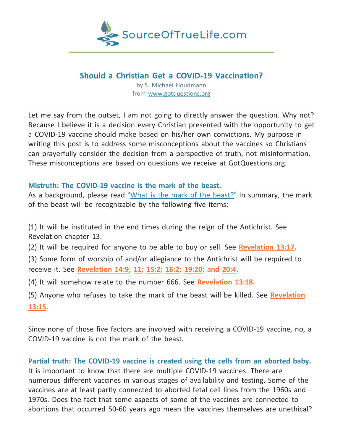

# **Should a Christian Get a COVID-19 Vaccination?**

by S. Michael Houdmann from [www.gotquestions.org](http://www.gotquestions.org/)

Let me say from the outset, I am not going to directly answer the question. Why not? Because I believe it is a decision every Christian presented with the opportunity to get a COVID-19 vaccine should make based on his/her own convictions. My purpose in writing this post is to address some misconceptions about the vaccines so Christians can prayerfully consider the decision from a perspective of truth, not misinformation. These misconceptions are based on questions we receive at GotQuestions.org.

## **Mistruth: The COVID-19 vaccine is the mark of the beast.**

As a background, please read "What is the mark of the [beast?](https://www.gotquestions.blog/mark-of-the-beast.html)" In summary, the mark of the beast will be recognizable by the following five items:

(1) It will be instituted in the end times during the reign of the Antichrist. See Revelation chapter 13.

(2) It will be required for anyone to be able to buy or sell. See **[Revelation](https://biblia.com/bible/esv/Rev%2013.17) 13:17.**

(3) Some form of worship of and/or allegiance to the Antichrist will be required to receive it. See **[Revelation](https://biblia.com/bible/esv/Rev%2014.9) 14:9, [11;](https://biblia.com/bible/esv/Revelation%2014.11) [15:2;](https://biblia.com/bible/esv/Revelation%2015.2) [16:2;](https://biblia.com/bible/esv/Revelation%2016.2) [19:20;](https://biblia.com/bible/esv/Revelation%2019.20) and [20:4.](https://biblia.com/bible/esv/Revelation%2020.4)**

(4) It will somehow relate to the number 666. See **[Revelation](https://biblia.com/bible/esv/Rev%2013.18) 13:18.**

(5) Anyone who refuses to take the mark of the beast will be killed. See **[Revelation](https://biblia.com/bible/esv/Rev%2013.15)** **[13:15.](https://biblia.com/bible/esv/Rev%2013.15)**

Since none of those five factors are involved with receiving a COVID-19 vaccine, no, a COVID-19 vaccine is not the mark of the beast.

**Partial truth: The COVID-19 vaccine is created using the cells from an aborted baby.** It is important to know that there are multiple COVID-19 vaccines. There are numerous different vaccines in various stages of availability and testing. Some of the vaccines are at least partly connected to aborted fetal cell lines from the 1960s and 1970s. Does the fact that some aspects of some of the vaccines are connected to abortions that occurred 50-60 years ago mean the vaccines themselves are unethical?